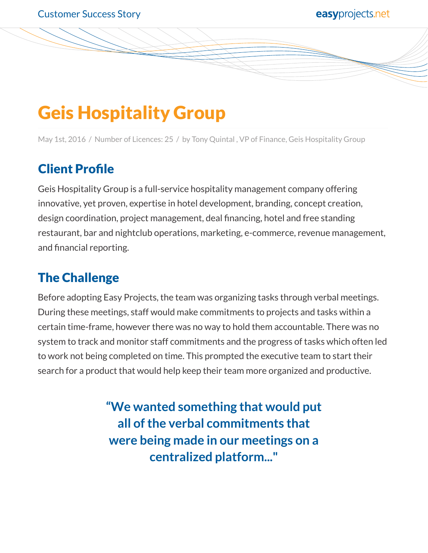# Geis Hospitality Group

May 1st, 2016 / Number of Licences: 25 / by Tony Quintal , VP of Finance, Geis Hospitality Group

## Client Profile

Geis Hospitality Group is a full-service hospitality management company offering innovative, yet proven, expertise in hotel development, branding, concept creation, design coordination, project management, deal financing, hotel and free standing restaurant, bar and nightclub operations, marketing, e-commerce, revenue management, and financial reporting.

### The Challenge

Before adopting Easy Projects, the team was organizing tasks through verbal meetings. During these meetings, staff would make commitments to projects and tasks within a certain time-frame, however there was no way to hold them accountable. There was no system to track and monitor staff commitments and the progress of tasks which often led to work not being completed on time. This prompted the executive team to start their search for a product that would help keep their team more organized and productive.

> **"We wanted something that would put all of the verbal commitments that were being made in our meetings on a centralized platform..."**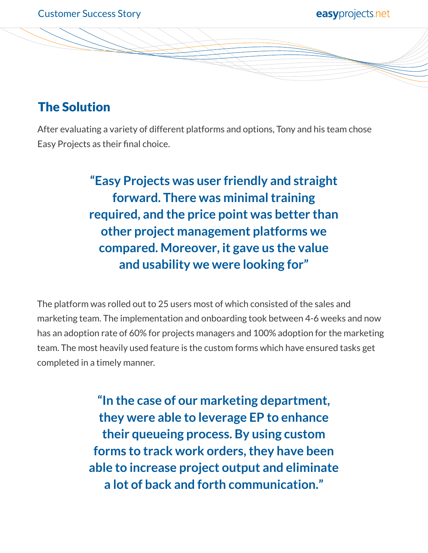#### The Solution

After evaluating a variety of different platforms and options, Tony and his team chose Easy Projects as their final choice.

> **"Easy Projects was user friendly and straight forward. There was minimal training required, and the price point was better than other project management platforms we compared. Moreover, it gave us the value and usability we were looking for"**

The platform was rolled out to 25 users most of which consisted of the sales and marketing team. The implementation and onboarding took between 4-6 weeks and now has an adoption rate of 60% for projects managers and 100% adoption for the marketing team. The most heavily used feature is the custom forms which have ensured tasks get completed in a timely manner.

> **"In the case of our marketing department, they were able to leverage EP to enhance their queueing process. By using custom forms to track work orders, they have been able to increase project output and eliminate a lot of back and forth communication."**